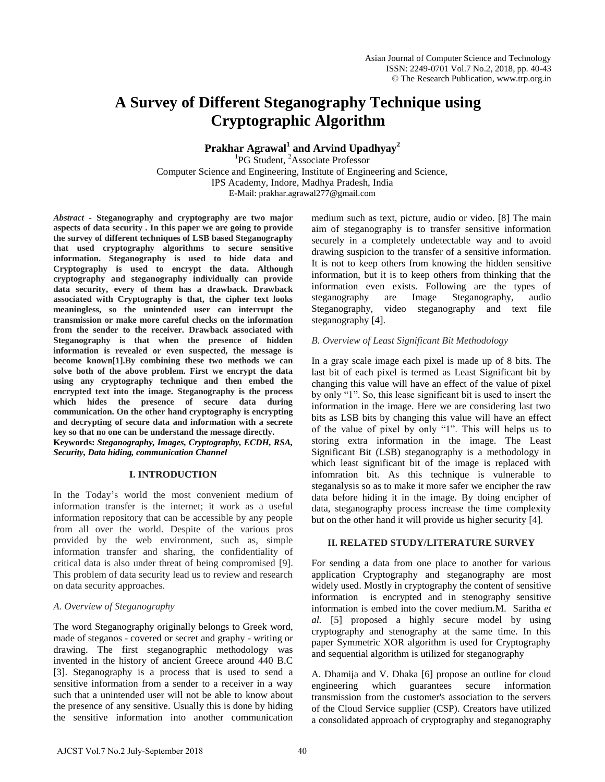# **A Survey of Different Steganography Technique using Cryptographic Algorithm**

**Prakhar Agrawal<sup>1</sup> and Arvind Upadhyay<sup>2</sup>**

<sup>1</sup>PG Student, <sup>2</sup>Associate Professor Computer Science and Engineering, Institute of Engineering and Science, IPS Academy, Indore, Madhya Pradesh, India E-Mail: prakhar.agrawal277@gmail.com

*Abstract* **- Steganography and cryptography are two major aspects of data security . In this paper we are going to provide the survey of different techniques of LSB based Steganography that used cryptography algorithms to secure sensitive information. Steganography is used to hide data and Cryptography is used to encrypt the data. Although cryptography and steganography individually can provide data security, every of them has a drawback. Drawback associated with Cryptography is that, the cipher text looks meaningless, so the unintended user can interrupt the transmission or make more careful checks on the information from the sender to the receiver. Drawback associated with Steganography is that when the presence of hidden information is revealed or even suspected, the message is become known[1].By combining these two methods we can solve both of the above problem. First we encrypt the data using any cryptography technique and then embed the encrypted text into the image. Steganography is the process which hides the presence of secure data during communication. On the other hand cryptography is encrypting and decrypting of secure data and information with a secrete key so that no one can be understand the message directly.** 

**Keywords:** *Steganography, Images, Cryptography, ECDH, RSA, Security, Data hiding, communication Channel*

# **I. INTRODUCTION**

In the Today's world the most convenient medium of information transfer is the internet; it work as a useful information repository that can be accessible by any people from all over the world. Despite of the various pros provided by the web environment, such as, simple information transfer and sharing, the confidentiality of critical data is also under threat of being compromised [9]. This problem of data security lead us to review and research on data security approaches.

#### *A. Overview of Steganography*

The word Steganography originally belongs to Greek word, made of steganos - covered or secret and graphy - writing or drawing. The first steganographic methodology was invented in the history of ancient Greece around 440 B.C [3]. Steganography is a process that is used to send a sensitive information from a sender to a receiver in a way such that a unintended user will not be able to know about the presence of any sensitive. Usually this is done by hiding the sensitive information into another communication

medium such as text, picture, audio or video. [8] The main aim of steganography is to transfer sensitive information securely in a completely undetectable way and to avoid drawing suspicion to the transfer of a sensitive information. It is not to keep others from knowing the hidden sensitive information, but it is to keep others from thinking that the information even exists. Following are the types of steganography are Image Steganography, audio Steganography, video steganography and text file steganography [4].

### *B. Overview of Least Significant Bit Methodology*

In a gray scale image each pixel is made up of 8 bits. The last bit of each pixel is termed as Least Significant bit by changing this value will have an effect of the value of pixel by only "1". So, this lease significant bit is used to insert the information in the image. Here we are considering last two bits as LSB bits by changing this value will have an effect of the value of pixel by only "1". This will helps us to storing extra information in the image. The Least Significant Bit (LSB) steganography is a methodology in which least significant bit of the image is replaced with infomration bit. As this technique is vulnerable to steganalysis so as to make it more safer we encipher the raw data before hiding it in the image. By doing encipher of data, steganography process increase the time complexity but on the other hand it will provide us higher security [4].

### **II. RELATED STUDY/LITERATURE SURVEY**

For sending a data from one place to another for various application Cryptography and steganography are most widely used. Mostly in cryptography the content of sensitive information is encrypted and in stenography sensitive information is embed into the cover medium.M. Saritha *et al.* [5] proposed a highly secure model by using cryptography and stenography at the same time. In this paper Symmetric XOR algorithm is used for Cryptography and sequential algorithm is utilized for steganography

A. Dhamija and V. Dhaka [6] propose an outline for cloud engineering which guarantees secure information transmission from the customer's association to the servers of the Cloud Service supplier (CSP). Creators have utilized a consolidated approach of cryptography and steganography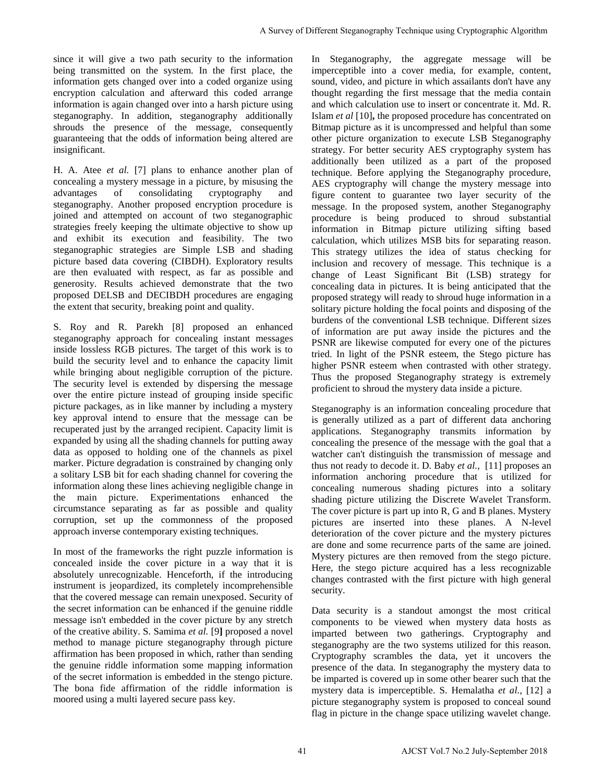since it will give a two path security to the information being transmitted on the system. In the first place, the information gets changed over into a coded organize using encryption calculation and afterward this coded arrange information is again changed over into a harsh picture using steganography. In addition, steganography additionally shrouds the presence of the message, consequently guaranteeing that the odds of information being altered are insignificant.

H. A. Atee *et al.* [7] plans to enhance another plan of concealing a mystery message in a picture, by misusing the advantages of consolidating cryptography and steganography. Another proposed encryption procedure is joined and attempted on account of two steganographic strategies freely keeping the ultimate objective to show up and exhibit its execution and feasibility. The two steganographic strategies are Simple LSB and shading picture based data covering (CIBDH). Exploratory results are then evaluated with respect, as far as possible and generosity. Results achieved demonstrate that the two proposed DELSB and DECIBDH procedures are engaging the extent that security, breaking point and quality.

S. Roy and R. Parekh [8] proposed an enhanced steganography approach for concealing instant messages inside lossless RGB pictures. The target of this work is to build the security level and to enhance the capacity limit while bringing about negligible corruption of the picture. The security level is extended by dispersing the message over the entire picture instead of grouping inside specific picture packages, as in like manner by including a mystery key approval intend to ensure that the message can be recuperated just by the arranged recipient. Capacity limit is expanded by using all the shading channels for putting away data as opposed to holding one of the channels as pixel marker. Picture degradation is constrained by changing only a solitary LSB bit for each shading channel for covering the information along these lines achieving negligible change in the main picture. Experimentations enhanced the circumstance separating as far as possible and quality corruption, set up the commonness of the proposed approach inverse contemporary existing techniques.

In most of the frameworks the right puzzle information is concealed inside the cover picture in a way that it is absolutely unrecognizable. Henceforth, if the introducing instrument is jeopardized, its completely incomprehensible that the covered message can remain unexposed. Security of the secret information can be enhanced if the genuine riddle message isn't embedded in the cover picture by any stretch of the creative ability. S. Samima *et al.* [9**]** proposed a novel method to manage picture steganography through picture affirmation has been proposed in which, rather than sending the genuine riddle information some mapping information of the secret information is embedded in the stengo picture. The bona fide affirmation of the riddle information is moored using a multi layered secure pass key.

In Steganography, the aggregate message will be imperceptible into a cover media, for example, content, sound, video, and picture in which assailants don't have any thought regarding the first message that the media contain and which calculation use to insert or concentrate it. Md. R. Islam *et al* [10]**,** the proposed procedure has concentrated on Bitmap picture as it is uncompressed and helpful than some other picture organization to execute LSB Steganography strategy. For better security AES cryptography system has additionally been utilized as a part of the proposed technique. Before applying the Steganography procedure, AES cryptography will change the mystery message into figure content to guarantee two layer security of the message. In the proposed system, another Steganography procedure is being produced to shroud substantial information in Bitmap picture utilizing sifting based calculation, which utilizes MSB bits for separating reason. This strategy utilizes the idea of status checking for inclusion and recovery of message. This technique is a change of Least Significant Bit (LSB) strategy for concealing data in pictures. It is being anticipated that the proposed strategy will ready to shroud huge information in a solitary picture holding the focal points and disposing of the burdens of the conventional LSB technique. Different sizes of information are put away inside the pictures and the PSNR are likewise computed for every one of the pictures tried. In light of the PSNR esteem, the Stego picture has higher PSNR esteem when contrasted with other strategy. Thus the proposed Steganography strategy is extremely proficient to shroud the mystery data inside a picture. A Survey of Different Steganography Technique using Cryptographic Algorithm<br>
crossings and visible, and pieces are will be a green and the same will be<br>considered a model in Survey and the same of the same of the same of<br>

Steganography is an information concealing procedure that is generally utilized as a part of different data anchoring applications. Steganography transmits information by concealing the presence of the message with the goal that a watcher can't distinguish the transmission of message and thus not ready to decode it. D. Baby *et al.,* [11] proposes an information anchoring procedure that is utilized for concealing numerous shading pictures into a solitary shading picture utilizing the Discrete Wavelet Transform. The cover picture is part up into R, G and B planes. Mystery pictures are inserted into these planes. A N-level deterioration of the cover picture and the mystery pictures are done and some recurrence parts of the same are joined. Mystery pictures are then removed from the stego picture. Here, the stego picture acquired has a less recognizable changes contrasted with the first picture with high general security.

Data security is a standout amongst the most critical components to be viewed when mystery data hosts as imparted between two gatherings. Cryptography and steganography are the two systems utilized for this reason. Cryptography scrambles the data, yet it uncovers the presence of the data. In steganography the mystery data to be imparted is covered up in some other bearer such that the mystery data is imperceptible. S. Hemalatha *et al.,* [12] a picture steganography system is proposed to conceal sound flag in picture in the change space utilizing wavelet change.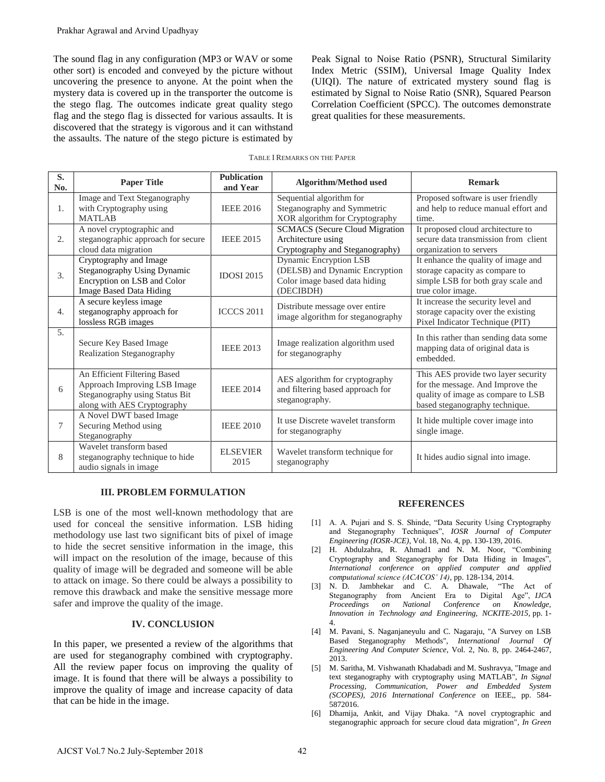| Prakhar Agrawal and Arvind Upadhyay                                                                                                                                                                                                                                                                                                                                                                                                                                                                                                                                                                                                                                                                                                                                                                                                                                                                                                                                                                                                                                                                 |                                                                                                                               |                                |                                                                                                               |                                                                                                                                                                                                                                                                                                                                                                                                                                                                                                                                                                                                                         |                                                                                                                                                 |
|-----------------------------------------------------------------------------------------------------------------------------------------------------------------------------------------------------------------------------------------------------------------------------------------------------------------------------------------------------------------------------------------------------------------------------------------------------------------------------------------------------------------------------------------------------------------------------------------------------------------------------------------------------------------------------------------------------------------------------------------------------------------------------------------------------------------------------------------------------------------------------------------------------------------------------------------------------------------------------------------------------------------------------------------------------------------------------------------------------|-------------------------------------------------------------------------------------------------------------------------------|--------------------------------|---------------------------------------------------------------------------------------------------------------|-------------------------------------------------------------------------------------------------------------------------------------------------------------------------------------------------------------------------------------------------------------------------------------------------------------------------------------------------------------------------------------------------------------------------------------------------------------------------------------------------------------------------------------------------------------------------------------------------------------------------|-------------------------------------------------------------------------------------------------------------------------------------------------|
| The sound flag in any configuration (MP3 or WAV or some<br>Peak Signal to Noise Ratio (PSNR), Structural Similarity<br>Index Metric (SSIM), Universal Image Quality Index<br>other sort) is encoded and conveyed by the picture without<br>(UIQI). The nature of extricated mystery sound flag is<br>uncovering the presence to anyone. At the point when the<br>mystery data is covered up in the transporter the outcome is<br>estimated by Signal to Noise Ratio (SNR), Squared Pearson<br>the stego flag. The outcomes indicate great quality stego<br>Correlation Coefficient (SPCC). The outcomes demonstrate<br>flag and the stego flag is dissected for various assaults. It is<br>great qualities for these measurements.<br>discovered that the strategy is vigorous and it can withstand<br>the assaults. The nature of the stego picture is estimated by<br><b>TABLE I REMARKS ON THE PAPER</b>                                                                                                                                                                                         |                                                                                                                               |                                |                                                                                                               |                                                                                                                                                                                                                                                                                                                                                                                                                                                                                                                                                                                                                         |                                                                                                                                                 |
| S.<br>No.                                                                                                                                                                                                                                                                                                                                                                                                                                                                                                                                                                                                                                                                                                                                                                                                                                                                                                                                                                                                                                                                                           | <b>Paper Title</b>                                                                                                            | <b>Publication</b><br>and Year | Algorithm/Method used                                                                                         |                                                                                                                                                                                                                                                                                                                                                                                                                                                                                                                                                                                                                         | <b>Remark</b>                                                                                                                                   |
| 1.                                                                                                                                                                                                                                                                                                                                                                                                                                                                                                                                                                                                                                                                                                                                                                                                                                                                                                                                                                                                                                                                                                  | Image and Text Steganography<br>with Cryptography using<br><b>MATLAB</b>                                                      | <b>IEEE 2016</b>               | Sequential algorithm for<br>Steganography and Symmetric<br>XOR algorithm for Cryptography                     |                                                                                                                                                                                                                                                                                                                                                                                                                                                                                                                                                                                                                         | Proposed software is user friendly<br>and help to reduce manual effort and<br>time.                                                             |
| 2.                                                                                                                                                                                                                                                                                                                                                                                                                                                                                                                                                                                                                                                                                                                                                                                                                                                                                                                                                                                                                                                                                                  | A novel cryptographic and<br>steganographic approach for secure<br>cloud data migration                                       | <b>IEEE 2015</b>               | <b>SCMACS</b> (Secure Cloud Migration<br>Architecture using<br>Cryptography and Steganography)                |                                                                                                                                                                                                                                                                                                                                                                                                                                                                                                                                                                                                                         | It proposed cloud architecture to<br>secure data transmission from client<br>organization to servers                                            |
| 3.                                                                                                                                                                                                                                                                                                                                                                                                                                                                                                                                                                                                                                                                                                                                                                                                                                                                                                                                                                                                                                                                                                  | Cryptography and Image<br>Steganography Using Dynamic<br>Encryption on LSB and Color<br><b>Image Based Data Hiding</b>        | <b>IDOSI 2015</b>              | <b>Dynamic Encryption LSB</b><br>(DELSB) and Dynamic Encryption<br>Color image based data hiding<br>(DECIBDH) |                                                                                                                                                                                                                                                                                                                                                                                                                                                                                                                                                                                                                         | It enhance the quality of image and<br>storage capacity as compare to<br>simple LSB for both gray scale and<br>true color image.                |
| 4.                                                                                                                                                                                                                                                                                                                                                                                                                                                                                                                                                                                                                                                                                                                                                                                                                                                                                                                                                                                                                                                                                                  | A secure keyless image<br>steganography approach for<br>lossless RGB images                                                   | <b>ICCCS 2011</b>              | Distribute message over entire<br>image algorithm for steganography                                           |                                                                                                                                                                                                                                                                                                                                                                                                                                                                                                                                                                                                                         | It increase the security level and<br>storage capacity over the existing<br>Pixel Indicator Technique (PIT)                                     |
| 5.                                                                                                                                                                                                                                                                                                                                                                                                                                                                                                                                                                                                                                                                                                                                                                                                                                                                                                                                                                                                                                                                                                  | Secure Key Based Image<br>Realization Steganography                                                                           | <b>IEEE 2013</b>               | Image realization algorithm used<br>for steganography                                                         |                                                                                                                                                                                                                                                                                                                                                                                                                                                                                                                                                                                                                         | In this rather than sending data some<br>mapping data of original data is<br>embedded.                                                          |
| 6                                                                                                                                                                                                                                                                                                                                                                                                                                                                                                                                                                                                                                                                                                                                                                                                                                                                                                                                                                                                                                                                                                   | An Efficient Filtering Based<br>Approach Improving LSB Image<br>Steganography using Status Bit<br>along with AES Cryptography | <b>IEEE 2014</b>               | AES algorithm for cryptography<br>and filtering based approach for<br>steganography.                          |                                                                                                                                                                                                                                                                                                                                                                                                                                                                                                                                                                                                                         | This AES provide two layer security<br>for the message. And Improve the<br>quality of image as compare to LSB<br>based steganography technique. |
| 7                                                                                                                                                                                                                                                                                                                                                                                                                                                                                                                                                                                                                                                                                                                                                                                                                                                                                                                                                                                                                                                                                                   | A Novel DWT based Image<br>Securing Method using<br>Steganography                                                             | <b>IEEE 2010</b>               | It use Discrete wavelet transform<br>for steganography                                                        |                                                                                                                                                                                                                                                                                                                                                                                                                                                                                                                                                                                                                         | It hide multiple cover image into<br>single image.                                                                                              |
| 8                                                                                                                                                                                                                                                                                                                                                                                                                                                                                                                                                                                                                                                                                                                                                                                                                                                                                                                                                                                                                                                                                                   | Wavelet transform based<br>steganography technique to hide<br>audio signals in image                                          | <b>ELSEVIER</b><br>2015        | Wavelet transform technique for<br>steganography                                                              |                                                                                                                                                                                                                                                                                                                                                                                                                                                                                                                                                                                                                         | It hides audio signal into image.                                                                                                               |
| <b>III. PROBLEM FORMULATION</b><br><b>REFERENCES</b>                                                                                                                                                                                                                                                                                                                                                                                                                                                                                                                                                                                                                                                                                                                                                                                                                                                                                                                                                                                                                                                |                                                                                                                               |                                |                                                                                                               |                                                                                                                                                                                                                                                                                                                                                                                                                                                                                                                                                                                                                         |                                                                                                                                                 |
| LSB is one of the most well-known methodology that are<br>[1] A. A. Pujari and S. S. Shinde, "Data Security Using Cryptography                                                                                                                                                                                                                                                                                                                                                                                                                                                                                                                                                                                                                                                                                                                                                                                                                                                                                                                                                                      |                                                                                                                               |                                |                                                                                                               |                                                                                                                                                                                                                                                                                                                                                                                                                                                                                                                                                                                                                         |                                                                                                                                                 |
| used for conceal the sensitive information. LSB hiding<br>and Steganography Techniques", IOSR Journal of Computer<br>methodology use last two significant bits of pixel of image<br>Engineering (IOSR-JCE), Vol. 18, No. 4, pp. 130-139, 2016.<br>to hide the secret sensitive information in the image, this<br>[2] H. Abdulzahra, R. Ahmad1 and N. M. Noor, "Combining<br>will impact on the resolution of the image, because of this<br>Cryptography and Steganography for Data Hiding in Images",<br>International conference on applied computer and applied<br>quality of image will be degraded and someone will be able<br>computational science (ACACOS' 14), pp. 128-134, 2014.<br>to attack on image. So there could be always a possibility to<br>[3] N. D. Jambhekar and C. A. Dhawale, "The Act of<br>remove this drawback and make the sensitive message more<br>Steganography from Ancient Era to Digital Age", IJCA<br>safer and improve the quality of the image.<br>Proceedings<br>Conference<br>National<br>on<br>Innovation in Technology and Engineering, NCKITE-2015, pp. 1- |                                                                                                                               |                                |                                                                                                               |                                                                                                                                                                                                                                                                                                                                                                                                                                                                                                                                                                                                                         | Knowledge,<br><sub>on</sub>                                                                                                                     |
| <b>IV. CONCLUSION</b><br>$\lceil 4 \rceil$                                                                                                                                                                                                                                                                                                                                                                                                                                                                                                                                                                                                                                                                                                                                                                                                                                                                                                                                                                                                                                                          |                                                                                                                               |                                |                                                                                                               | 4.                                                                                                                                                                                                                                                                                                                                                                                                                                                                                                                                                                                                                      |                                                                                                                                                 |
| In this paper, we presented a review of the algorithms that<br>are used for steganography combined with cryptography.<br>All the review paper focus on improving the quality of<br>image. It is found that there will be always a possibility to<br>improve the quality of image and increase capacity of data<br>that can be hide in the image.                                                                                                                                                                                                                                                                                                                                                                                                                                                                                                                                                                                                                                                                                                                                                    |                                                                                                                               |                                |                                                                                                               | M. Pavani, S. Naganjaneyulu and C. Nagaraju, "A Survey on LSB<br>Based Steganography Methods", International Journal Of<br>Engineering And Computer Science, Vol. 2, No. 8, pp. 2464-2467,<br>2013.<br>[5] M. Saritha, M. Vishwanath Khadabadi and M. Sushravya, "Image and<br>text steganography with cryptography using MATLAB", In Signal<br>Processing, Communication, Power and Embedded System<br>(SCOPES), 2016 International Conference on IEEE,, pp. 584-<br>5872016.<br>[6] Dhamija, Ankit, and Vijay Dhaka. "A novel cryptographic and<br>steganographic approach for secure cloud data migration", In Green |                                                                                                                                                 |
|                                                                                                                                                                                                                                                                                                                                                                                                                                                                                                                                                                                                                                                                                                                                                                                                                                                                                                                                                                                                                                                                                                     | AJCST Vol.7 No.2 July-September 2018                                                                                          |                                | 42                                                                                                            |                                                                                                                                                                                                                                                                                                                                                                                                                                                                                                                                                                                                                         |                                                                                                                                                 |

### **III. PROBLEM FORMULATION**

#### **IV. CONCLUSION**

# **REFERENCES**

- [1] A. A. Pujari and S. S. Shinde, "Data Security Using Cryptography and Steganography Techniques", *IOSR Journal of Computer Engineering (IOSR-JCE)*, Vol. 18, No. 4, pp. 130-139, 2016.
- [2] H. Abdulzahra, R. Ahmad1 and N. M. Noor, "Combining Cryptography and Steganography for Data Hiding in Images", *International conference on applied computer and applied computational science (ACACOS' 14)*, pp. 128-134, 2014.
- [3] N. D. Jambhekar and C. A. Dhawale, "The Act of Steganography from Ancient Era to Digital Age", *IJCA Proceedings on National Conference on Knowledge, Innovation in Technology and Engineering, NCKITE-2015*, pp. 1- 4.
- [4] M. Pavani, S. Naganjaneyulu and C. Nagaraju, "A Survey on LSB Based Steganography Methods", *International Journal Of Engineering And Computer Science*, Vol. 2, No. 8, pp. 2464-2467, 2013.
- [5] M. Saritha, M. Vishwanath Khadabadi and M. Sushravya, "Image and text steganography with cryptography using MATLAB", *In Signal Processing, Communication, Power and Embedded System (SCOPES), 2016 International Conference* on IEEE,, pp. 584- 5872016.
- [6] Dhamija, Ankit, and Vijay Dhaka. "A novel cryptographic and steganographic approach for secure cloud data migration", *In Green*